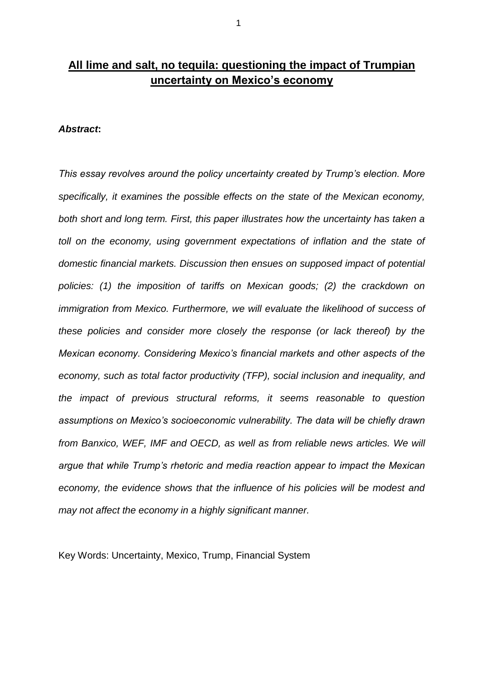# **All lime and salt, no tequila: questioning the impact of Trumpian uncertainty on Mexico's economy**

### *Abstract***:**

*This essay revolves around the policy uncertainty created by Trump's election. More specifically, it examines the possible effects on the state of the Mexican economy, both short and long term. First, this paper illustrates how the uncertainty has taken a toll on the economy, using government expectations of inflation and the state of domestic financial markets. Discussion then ensues on supposed impact of potential policies: (1) the imposition of tariffs on Mexican goods; (2) the crackdown on immigration from Mexico. Furthermore, we will evaluate the likelihood of success of these policies and consider more closely the response (or lack thereof) by the Mexican economy. Considering Mexico's financial markets and other aspects of the economy, such as total factor productivity (TFP), social inclusion and inequality, and the impact of previous structural reforms, it seems reasonable to question assumptions on Mexico's socioeconomic vulnerability. The data will be chiefly drawn from Banxico, WEF, IMF and OECD, as well as from reliable news articles. We will argue that while Trump's rhetoric and media reaction appear to impact the Mexican economy, the evidence shows that the influence of his policies will be modest and may not affect the economy in a highly significant manner.*

Key Words: Uncertainty, Mexico, Trump, Financial System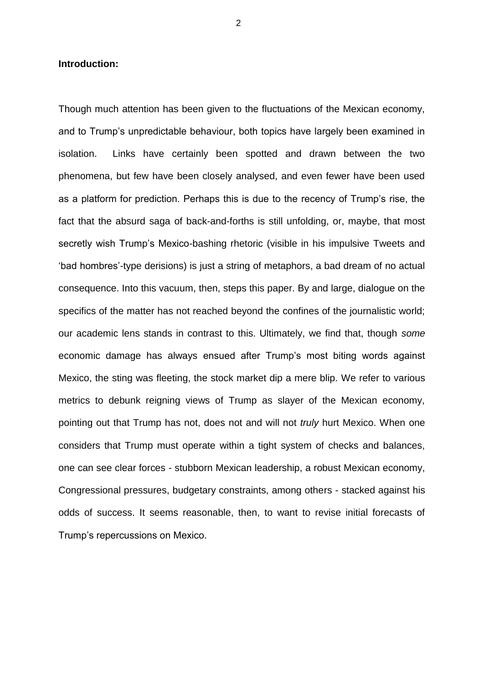### **Introduction:**

Though much attention has been given to the fluctuations of the Mexican economy, and to Trump's unpredictable behaviour, both topics have largely been examined in isolation. Links have certainly been spotted and drawn between the two phenomena, but few have been closely analysed, and even fewer have been used as a platform for prediction. Perhaps this is due to the recency of Trump's rise, the fact that the absurd saga of back-and-forths is still unfolding, or, maybe, that most secretly wish Trump's Mexico-bashing rhetoric (visible in his impulsive Tweets and 'bad hombres'-type derisions) is just a string of metaphors, a bad dream of no actual consequence. Into this vacuum, then, steps this paper. By and large, dialogue on the specifics of the matter has not reached beyond the confines of the journalistic world; our academic lens stands in contrast to this. Ultimately, we find that, though *some* economic damage has always ensued after Trump's most biting words against Mexico, the sting was fleeting, the stock market dip a mere blip. We refer to various metrics to debunk reigning views of Trump as slayer of the Mexican economy, pointing out that Trump has not, does not and will not *truly* hurt Mexico. When one considers that Trump must operate within a tight system of checks and balances, one can see clear forces - stubborn Mexican leadership, a robust Mexican economy, Congressional pressures, budgetary constraints, among others - stacked against his odds of success. It seems reasonable, then, to want to revise initial forecasts of Trump's repercussions on Mexico.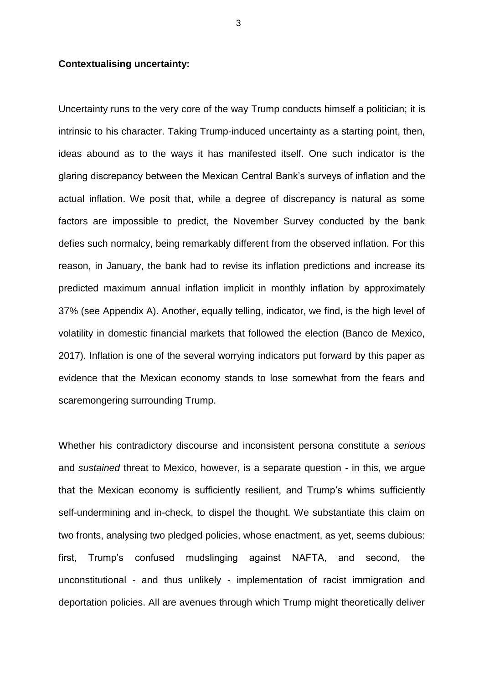#### **Contextualising uncertainty:**

Uncertainty runs to the very core of the way Trump conducts himself a politician; it is intrinsic to his character. Taking Trump-induced uncertainty as a starting point, then, ideas abound as to the ways it has manifested itself. One such indicator is the glaring discrepancy between the Mexican Central Bank's surveys of inflation and the actual inflation. We posit that, while a degree of discrepancy is natural as some factors are impossible to predict, the November Survey conducted by the bank defies such normalcy, being remarkably different from the observed inflation. For this reason, in January, the bank had to revise its inflation predictions and increase its predicted maximum annual inflation implicit in monthly inflation by approximately 37% (see Appendix A). Another, equally telling, indicator, we find, is the high level of volatility in domestic financial markets that followed the election (Banco de Mexico, 2017). Inflation is one of the several worrying indicators put forward by this paper as evidence that the Mexican economy stands to lose somewhat from the fears and scaremongering surrounding Trump.

Whether his contradictory discourse and inconsistent persona constitute a *serious* and *sustained* threat to Mexico, however, is a separate question - in this, we argue that the Mexican economy is sufficiently resilient, and Trump's whims sufficiently self-undermining and in-check, to dispel the thought. We substantiate this claim on two fronts, analysing two pledged policies, whose enactment, as yet, seems dubious: first, Trump's confused mudslinging against NAFTA, and second, the unconstitutional - and thus unlikely - implementation of racist immigration and deportation policies. All are avenues through which Trump might theoretically deliver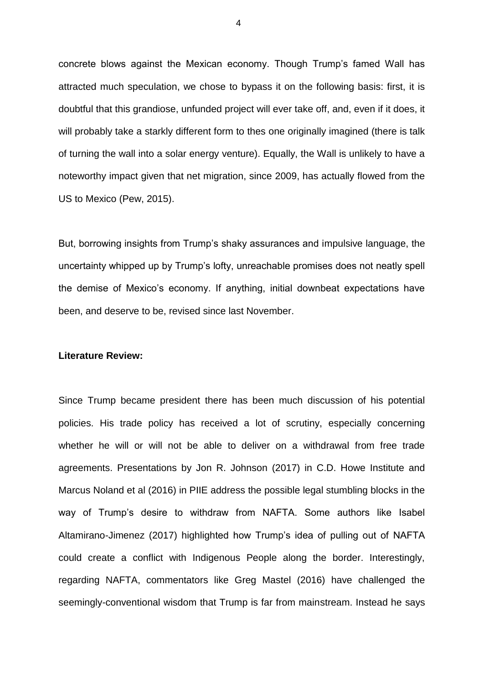concrete blows against the Mexican economy. Though Trump's famed Wall has attracted much speculation, we chose to bypass it on the following basis: first, it is doubtful that this grandiose, unfunded project will ever take off, and, even if it does, it will probably take a starkly different form to thes one originally imagined (there is talk of turning the wall into a solar energy venture). Equally, the Wall is unlikely to have a noteworthy impact given that net migration, since 2009, has actually flowed from the US to Mexico (Pew, 2015).

But, borrowing insights from Trump's shaky assurances and impulsive language, the uncertainty whipped up by Trump's lofty, unreachable promises does not neatly spell the demise of Mexico's economy. If anything, initial downbeat expectations have been, and deserve to be, revised since last November.

#### **Literature Review:**

Since Trump became president there has been much discussion of his potential policies. His trade policy has received a lot of scrutiny, especially concerning whether he will or will not be able to deliver on a withdrawal from free trade agreements. Presentations by Jon R. Johnson (2017) in C.D. Howe Institute and Marcus Noland et al (2016) in PIIE address the possible legal stumbling blocks in the way of Trump's desire to withdraw from NAFTA. Some authors like Isabel Altamirano-Jimenez (2017) highlighted how Trump's idea of pulling out of NAFTA could create a conflict with Indigenous People along the border. Interestingly, regarding NAFTA, commentators like Greg Mastel (2016) have challenged the seemingly-conventional wisdom that Trump is far from mainstream. Instead he says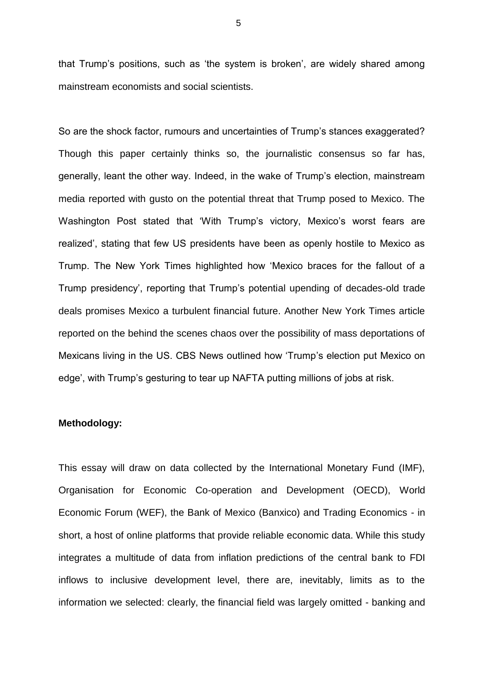that Trump's positions, such as 'the system is broken', are widely shared among mainstream economists and social scientists.

So are the shock factor, rumours and uncertainties of Trump's stances exaggerated? Though this paper certainly thinks so, the journalistic consensus so far has, generally, leant the other way. Indeed, in the wake of Trump's election, mainstream media reported with gusto on the potential threat that Trump posed to Mexico. The Washington Post stated that 'With Trump's victory, Mexico's worst fears are realized', stating that few US presidents have been as openly hostile to Mexico as Trump. The New York Times highlighted how 'Mexico braces for the fallout of a Trump presidency', reporting that Trump's potential upending of decades-old trade deals promises Mexico a turbulent financial future. Another New York Times article reported on the behind the scenes chaos over the possibility of mass deportations of Mexicans living in the US. CBS News outlined how 'Trump's election put Mexico on edge', with Trump's gesturing to tear up NAFTA putting millions of jobs at risk.

## **Methodology:**

This essay will draw on data collected by the International Monetary Fund (IMF), Organisation for Economic Co-operation and Development (OECD), World Economic Forum (WEF), the Bank of Mexico (Banxico) and Trading Economics - in short, a host of online platforms that provide reliable economic data. While this study integrates a multitude of data from inflation predictions of the central bank to FDI inflows to inclusive development level, there are, inevitably, limits as to the information we selected: clearly, the financial field was largely omitted - banking and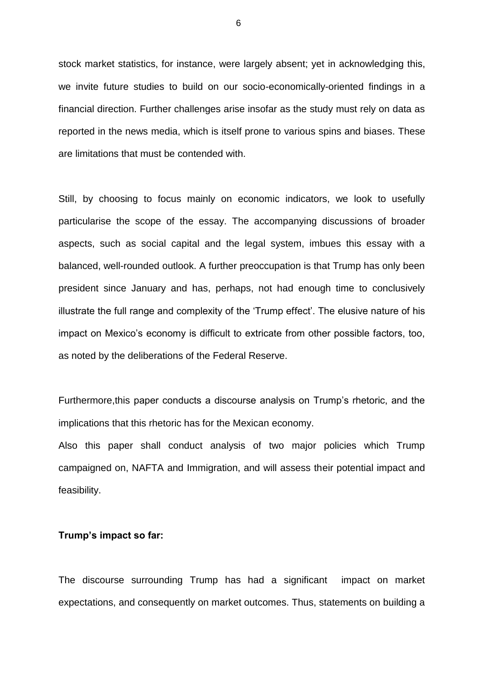stock market statistics, for instance, were largely absent; yet in acknowledging this, we invite future studies to build on our socio-economically-oriented findings in a financial direction. Further challenges arise insofar as the study must rely on data as reported in the news media, which is itself prone to various spins and biases. These are limitations that must be contended with.

Still, by choosing to focus mainly on economic indicators, we look to usefully particularise the scope of the essay. The accompanying discussions of broader aspects, such as social capital and the legal system, imbues this essay with a balanced, well-rounded outlook. A further preoccupation is that Trump has only been president since January and has, perhaps, not had enough time to conclusively illustrate the full range and complexity of the 'Trump effect'. The elusive nature of his impact on Mexico's economy is difficult to extricate from other possible factors, too, as noted by the deliberations of the Federal Reserve.

Furthermore,this paper conducts a discourse analysis on Trump's rhetoric, and the implications that this rhetoric has for the Mexican economy.

Also this paper shall conduct analysis of two major policies which Trump campaigned on, NAFTA and Immigration, and will assess their potential impact and feasibility.

### **Trump's impact so far:**

The discourse surrounding Trump has had a significant impact on market expectations, and consequently on market outcomes. Thus, statements on building a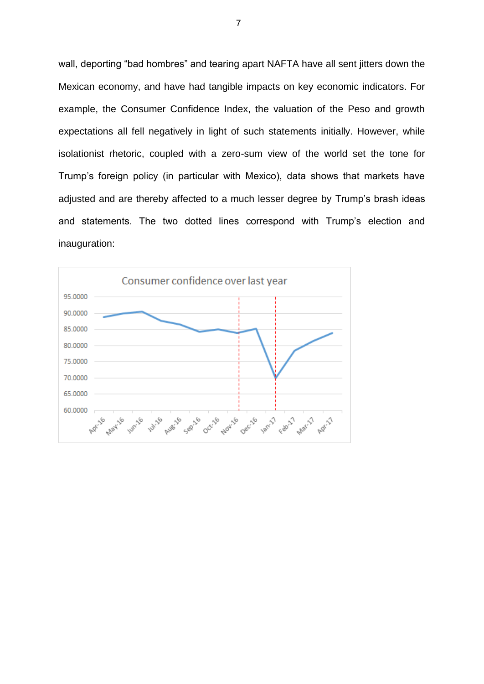wall, deporting "bad hombres" and tearing apart NAFTA have all sent jitters down the Mexican economy, and have had tangible impacts on key economic indicators. For example, the Consumer Confidence Index, the valuation of the Peso and growth expectations all fell negatively in light of such statements initially. However, while isolationist rhetoric, coupled with a zero-sum view of the world set the tone for Trump's foreign policy (in particular with Mexico), data shows that markets have adjusted and are thereby affected to a much lesser degree by Trump's brash ideas and statements. The two dotted lines correspond with Trump's election and inauguration:

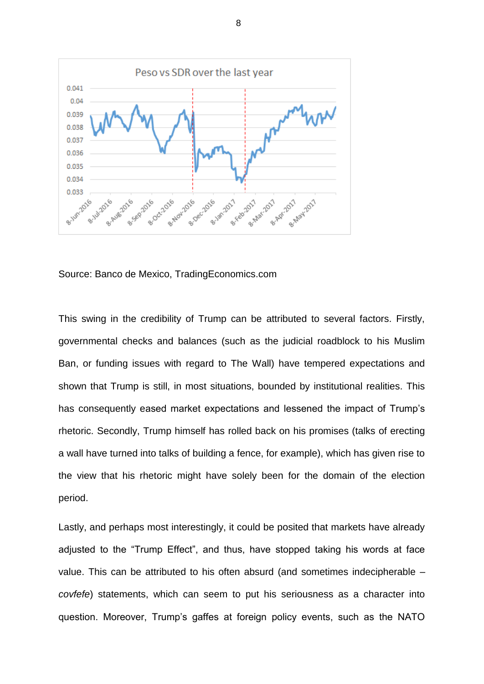

Source: Banco de Mexico, TradingEconomics.com

This swing in the credibility of Trump can be attributed to several factors. Firstly, governmental checks and balances (such as the judicial roadblock to his Muslim Ban, or funding issues with regard to The Wall) have tempered expectations and shown that Trump is still, in most situations, bounded by institutional realities. This has consequently eased market expectations and lessened the impact of Trump's rhetoric. Secondly, Trump himself has rolled back on his promises (talks of erecting a wall have turned into talks of building a fence, for example), which has given rise to the view that his rhetoric might have solely been for the domain of the election period.

Lastly, and perhaps most interestingly, it could be posited that markets have already adjusted to the "Trump Effect", and thus, have stopped taking his words at face value. This can be attributed to his often absurd (and sometimes indecipherable – *covfefe*) statements, which can seem to put his seriousness as a character into question. Moreover, Trump's gaffes at foreign policy events, such as the NATO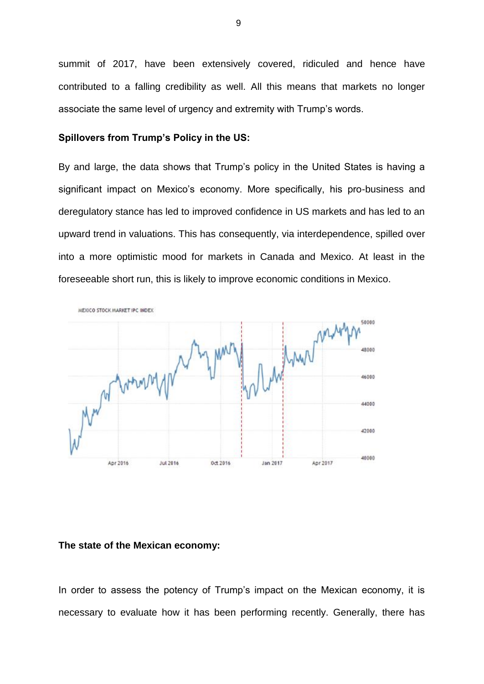summit of 2017, have been extensively covered, ridiculed and hence have contributed to a falling credibility as well. All this means that markets no longer associate the same level of urgency and extremity with Trump's words.

# **Spillovers from Trump's Policy in the US:**

By and large, the data shows that Trump's policy in the United States is having a significant impact on Mexico's economy. More specifically, his pro-business and deregulatory stance has led to improved confidence in US markets and has led to an upward trend in valuations. This has consequently, via interdependence, spilled over into a more optimistic mood for markets in Canada and Mexico. At least in the foreseeable short run, this is likely to improve economic conditions in Mexico.



#### **The state of the Mexican economy:**

In order to assess the potency of Trump's impact on the Mexican economy, it is necessary to evaluate how it has been performing recently. Generally, there has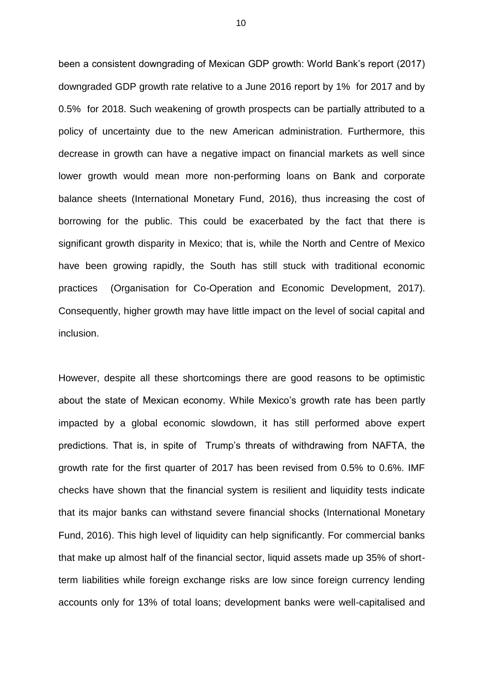been a consistent downgrading of Mexican GDP growth: World Bank's report (2017) downgraded GDP growth rate relative to a June 2016 report by 1% for 2017 and by 0.5% for 2018. Such weakening of growth prospects can be partially attributed to a policy of uncertainty due to the new American administration. Furthermore, this decrease in growth can have a negative impact on financial markets as well since lower growth would mean more non-performing loans on Bank and corporate balance sheets (International Monetary Fund, 2016), thus increasing the cost of borrowing for the public. This could be exacerbated by the fact that there is significant growth disparity in Mexico; that is, while the North and Centre of Mexico have been growing rapidly, the South has still stuck with traditional economic practices (Organisation for Co-Operation and Economic Development, 2017). Consequently, higher growth may have little impact on the level of social capital and inclusion.

However, despite all these shortcomings there are good reasons to be optimistic about the state of Mexican economy. While Mexico's growth rate has been partly impacted by a global economic slowdown, it has still performed above expert predictions. That is, in spite of Trump's threats of withdrawing from NAFTA, the growth rate for the first quarter of 2017 has been revised from 0.5% to 0.6%. IMF checks have shown that the financial system is resilient and liquidity tests indicate that its major banks can withstand severe financial shocks (International Monetary Fund, 2016). This high level of liquidity can help significantly. For commercial banks that make up almost half of the financial sector, liquid assets made up 35% of shortterm liabilities while foreign exchange risks are low since foreign currency lending accounts only for 13% of total loans; development banks were well-capitalised and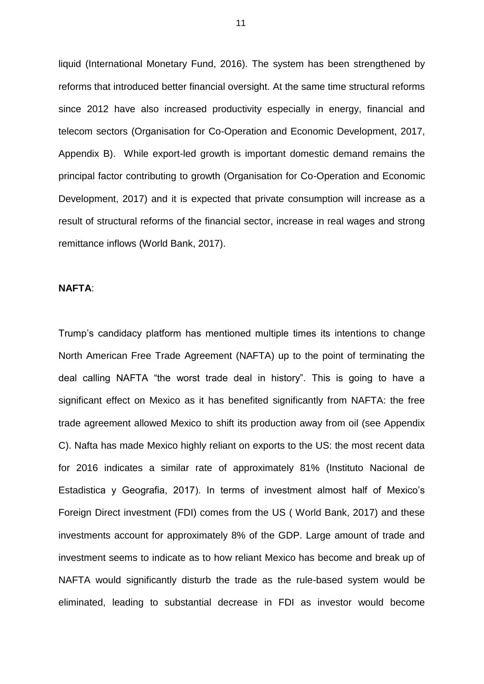liquid (International Monetary Fund, 2016). The system has been strengthened by reforms that introduced better financial oversight. At the same time structural reforms since 2012 have also increased productivity especially in energy, financial and telecom sectors (Organisation for Co-Operation and Economic Development, 2017, Appendix B). While export-led growth is important domestic demand remains the principal factor contributing to growth (Organisation for Co-Operation and Economic Development, 2017) and it is expected that private consumption will increase as a result of structural reforms of the financial sector, increase in real wages and strong remittance inflows (World Bank, 2017).

## **NAFTA**:

Trump's candidacy platform has mentioned multiple times its intentions to change North American Free Trade Agreement (NAFTA) up to the point of terminating the deal calling NAFTA "the worst trade deal in history". This is going to have a significant effect on Mexico as it has benefited significantly from NAFTA: the free trade agreement allowed Mexico to shift its production away from oil (see Appendix C). Nafta has made Mexico highly reliant on exports to the US: the most recent data for 2016 indicates a similar rate of approximately 81% (Instituto Nacional de Estadistica y Geografia, 2017). In terms of investment almost half of Mexico's Foreign Direct investment (FDI) comes from the US ( World Bank, 2017) and these investments account for approximately 8% of the GDP. Large amount of trade and investment seems to indicate as to how reliant Mexico has become and break up of NAFTA would significantly disturb the trade as the rule-based system would be eliminated, leading to substantial decrease in FDI as investor would become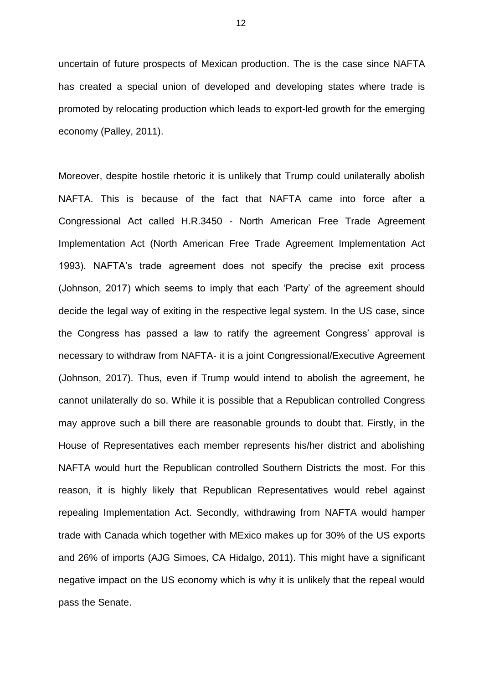uncertain of future prospects of Mexican production. The is the case since NAFTA has created a special union of developed and developing states where trade is promoted by relocating production which leads to export-led growth for the emerging economy (Palley, 2011).

Moreover, despite hostile rhetoric it is unlikely that Trump could unilaterally abolish NAFTA. This is because of the fact that NAFTA came into force after a Congressional Act called H.R.3450 - North American Free Trade Agreement Implementation Act (North American Free Trade Agreement Implementation Act 1993). NAFTA's trade agreement does not specify the precise exit process (Johnson, 2017) which seems to imply that each 'Party' of the agreement should decide the legal way of exiting in the respective legal system. In the US case, since the Congress has passed a law to ratify the agreement Congress' approval is necessary to withdraw from NAFTA- it is a joint Congressional/Executive Agreement (Johnson, 2017). Thus, even if Trump would intend to abolish the agreement, he cannot unilaterally do so. While it is possible that a Republican controlled Congress may approve such a bill there are reasonable grounds to doubt that. Firstly, in the House of Representatives each member represents his/her district and abolishing NAFTA would hurt the Republican controlled Southern Districts the most. For this reason, it is highly likely that Republican Representatives would rebel against repealing Implementation Act. Secondly, withdrawing from NAFTA would hamper trade with Canada which together with MExico makes up for 30% of the US exports and 26% of imports (AJG Simoes, CA Hidalgo, 2011). This might have a significant negative impact on the US economy which is why it is unlikely that the repeal would pass the Senate.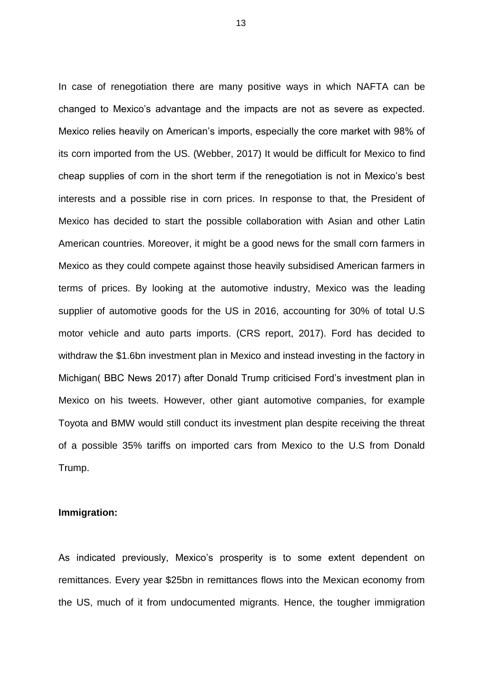In case of renegotiation there are many positive ways in which NAFTA can be changed to Mexico's advantage and the impacts are not as severe as expected. Mexico relies heavily on American's imports, especially the core market with 98% of its corn imported from the US. (Webber, 2017) It would be difficult for Mexico to find cheap supplies of corn in the short term if the renegotiation is not in Mexico's best interests and a possible rise in corn prices. In response to that, the President of Mexico has decided to start the possible collaboration with Asian and other Latin American countries. Moreover, it might be a good news for the small corn farmers in Mexico as they could compete against those heavily subsidised American farmers in terms of prices. By looking at the automotive industry, Mexico was the leading supplier of automotive goods for the US in 2016, accounting for 30% of total U.S motor vehicle and auto parts imports. (CRS report, 2017). Ford has decided to withdraw the \$1.6bn investment plan in Mexico and instead investing in the factory in Michigan( BBC News 2017) after Donald Trump criticised Ford's investment plan in Mexico on his tweets. However, other giant automotive companies, for example Toyota and BMW would still conduct its investment plan despite receiving the threat of a possible 35% tariffs on imported cars from Mexico to the U.S from Donald Trump.

# **Immigration:**

As indicated previously, Mexico's prosperity is to some extent dependent on remittances. Every year \$25bn in remittances flows into the Mexican economy from the US, much of it from undocumented migrants. Hence, the tougher immigration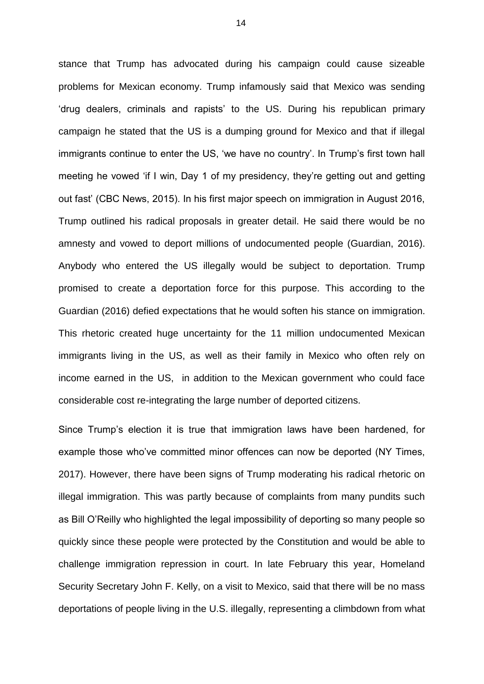stance that Trump has advocated during his campaign could cause sizeable problems for Mexican economy. Trump infamously said that Mexico was sending 'drug dealers, criminals and rapists' to the US. During his republican primary campaign he stated that the US is a dumping ground for Mexico and that if illegal immigrants continue to enter the US, 'we have no country'. In Trump's first town hall meeting he vowed 'if I win, Day 1 of my presidency, they're getting out and getting out fast' (CBC News, 2015). In his first major speech on immigration in August 2016, Trump outlined his radical proposals in greater detail. He said there would be no amnesty and vowed to deport millions of undocumented people (Guardian, 2016). Anybody who entered the US illegally would be subject to deportation. Trump promised to create a deportation force for this purpose. This according to the Guardian (2016) defied expectations that he would soften his stance on immigration. This rhetoric created huge uncertainty for the 11 million undocumented Mexican immigrants living in the US, as well as their family in Mexico who often rely on income earned in the US, in addition to the Mexican government who could face considerable cost re-integrating the large number of deported citizens.

Since Trump's election it is true that immigration laws have been hardened, for example those who've committed minor offences can now be deported (NY Times, 2017). However, there have been signs of Trump moderating his radical rhetoric on illegal immigration. This was partly because of complaints from many pundits such as Bill O'Reilly who highlighted the legal impossibility of deporting so many people so quickly since these people were protected by the Constitution and would be able to challenge immigration repression in court. In late February this year, Homeland Security Secretary John F. Kelly, on a visit to Mexico, said that there will be no mass deportations of people living in the U.S. illegally, representing a climbdown from what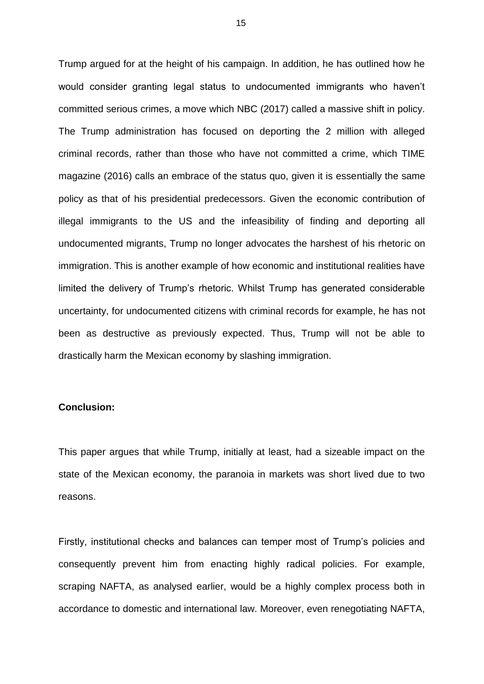Trump argued for at the height of his campaign. In addition, he has outlined how he would consider granting legal status to undocumented immigrants who haven't committed serious crimes, a move which NBC (2017) called a massive shift in policy. The Trump administration has focused on deporting the 2 million with alleged criminal records, rather than those who have not committed a crime, which TIME magazine (2016) calls an embrace of the status quo, given it is essentially the same policy as that of his presidential predecessors. Given the economic contribution of illegal immigrants to the US and the infeasibility of finding and deporting all undocumented migrants, Trump no longer advocates the harshest of his rhetoric on immigration. This is another example of how economic and institutional realities have limited the delivery of Trump's rhetoric. Whilst Trump has generated considerable uncertainty, for undocumented citizens with criminal records for example, he has not been as destructive as previously expected. Thus, Trump will not be able to drastically harm the Mexican economy by slashing immigration.

### **Conclusion:**

This paper argues that while Trump, initially at least, had a sizeable impact on the state of the Mexican economy, the paranoia in markets was short lived due to two reasons.

Firstly, institutional checks and balances can temper most of Trump's policies and consequently prevent him from enacting highly radical policies. For example, scraping NAFTA, as analysed earlier, would be a highly complex process both in accordance to domestic and international law. Moreover, even renegotiating NAFTA,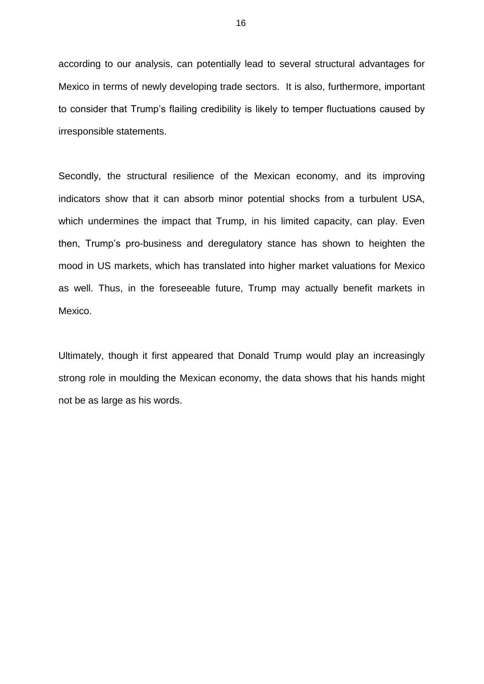according to our analysis, can potentially lead to several structural advantages for Mexico in terms of newly developing trade sectors. It is also, furthermore, important to consider that Trump's flailing credibility is likely to temper fluctuations caused by irresponsible statements.

Secondly, the structural resilience of the Mexican economy, and its improving indicators show that it can absorb minor potential shocks from a turbulent USA, which undermines the impact that Trump, in his limited capacity, can play. Even then, Trump's pro-business and deregulatory stance has shown to heighten the mood in US markets, which has translated into higher market valuations for Mexico as well. Thus, in the foreseeable future, Trump may actually benefit markets in Mexico.

Ultimately, though it first appeared that Donald Trump would play an increasingly strong role in moulding the Mexican economy, the data shows that his hands might not be as large as his words.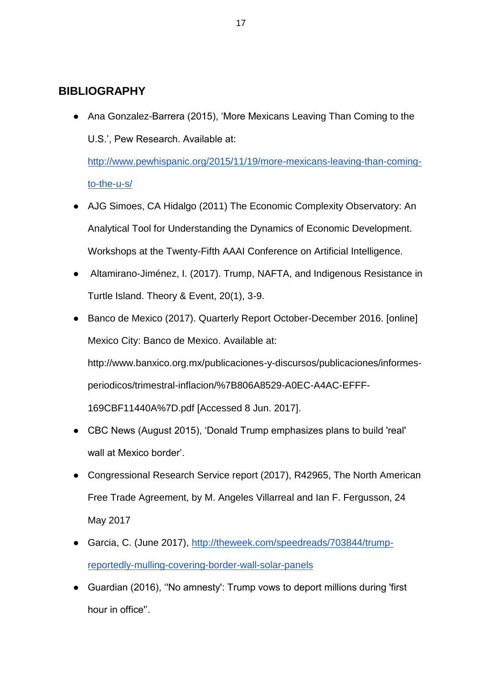# **BIBLIOGRAPHY**

● Ana Gonzalez-Barrera (2015), 'More Mexicans Leaving Than Coming to the U.S.', Pew Research. Available at:

[http://www.pewhispanic.org/2015/11/19/more-mexicans-leaving-than-coming](http://www.pewhispanic.org/2015/11/19/more-mexicans-leaving-than-coming-to-the-u-s/)[to-the-u-s/](http://www.pewhispanic.org/2015/11/19/more-mexicans-leaving-than-coming-to-the-u-s/)

- AJG Simoes, CA Hidalgo (2011) The Economic Complexity Observatory: An Analytical Tool for Understanding the Dynamics of Economic Development. Workshops at the Twenty-Fifth AAAI Conference on Artificial Intelligence.
- Altamirano-Jiménez, I. (2017). Trump, NAFTA, and Indigenous Resistance in Turtle Island. Theory & Event, 20(1), 3-9.
- Banco de Mexico (2017). Quarterly Report October-December 2016. [online] Mexico City: Banco de Mexico. Available at:

http://www.banxico.org.mx/publicaciones-y-discursos/publicaciones/informesperiodicos/trimestral-inflacion/%7B806A8529-A0EC-A4AC-EFFF-169CBF11440A%7D.pdf [Accessed 8 Jun. 2017].

- CBC News (August 2015), 'Donald Trump emphasizes plans to build 'real' wall at Mexico border'.
- Congressional Research Service report (2017), R42965, The North American Free Trade Agreement, by M. Angeles Villarreal and Ian F. Fergusson, 24 May 2017
- Garcia, C. (June 2017), [http://theweek.com/speedreads/703844/trump](http://theweek.com/speedreads/703844/trump-reportedly-mulling-covering-border-wall-solar-panels)[reportedly-mulling-covering-border-wall-solar-panels](http://theweek.com/speedreads/703844/trump-reportedly-mulling-covering-border-wall-solar-panels)
- Guardian (2016), ''No amnesty': Trump vows to deport millions during 'first hour in office''.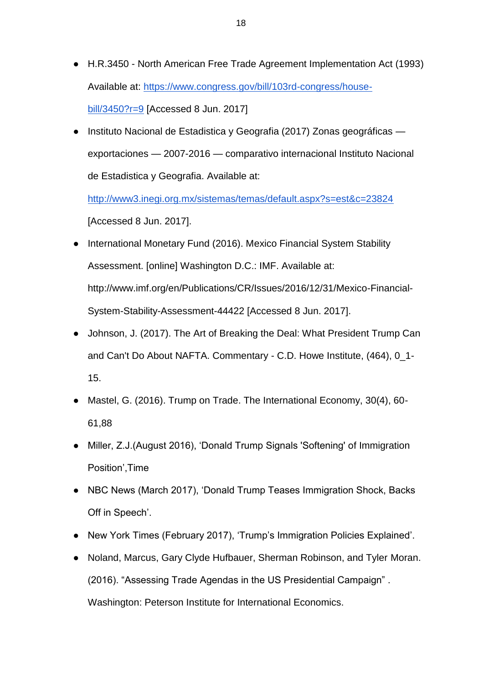- H.R.3450 North American Free Trade Agreement Implementation Act (1993) Available at[:](https://www.congress.gov/bill/103rd-congress/house-bill/3450?r=9) [https://www.congress.gov/bill/103rd-congress/house](https://www.congress.gov/bill/103rd-congress/house-bill/3450?r=9)[bill/3450?r=9](https://www.congress.gov/bill/103rd-congress/house-bill/3450?r=9) [Accessed 8 Jun. 2017]
- Instituto Nacional de Estadistica y Geografia (2017) Zonas geográficas exportaciones — 2007-2016 — comparativo internacional Instituto Nacional de Estadistica y Geografia. Available at[:](http://www3.inegi.org.mx/sistemas/temas/default.aspx?s=est&c=23824)

<http://www3.inegi.org.mx/sistemas/temas/default.aspx?s=est&c=23824> [Accessed 8 Jun. 2017].

- International Monetary Fund (2016). Mexico Financial System Stability Assessment. [online] Washington D.C.: IMF. Available at: http://www.imf.org/en/Publications/CR/Issues/2016/12/31/Mexico-Financial-System-Stability-Assessment-44422 [Accessed 8 Jun. 2017].
- Johnson, J. (2017). The Art of Breaking the Deal: What President Trump Can and Can't Do About NAFTA. Commentary - C.D. Howe Institute, (464), 0\_1- 15.
- Mastel, G. (2016). Trump on Trade. The International Economy, 30(4), 60-61,88
- Miller, Z.J.(August 2016), 'Donald Trump Signals 'Softening' of Immigration Position',Time
- NBC News (March 2017), 'Donald Trump Teases Immigration Shock, Backs Off in Speech'.
- New York Times (February 2017), 'Trump's Immigration Policies Explained'.
- Noland, Marcus, Gary Clyde Hufbauer, Sherman Robinson, and Tyler Moran. (2016). "Assessing Trade Agendas in the US Presidential Campaign" . Washington: Peterson Institute for International Economics.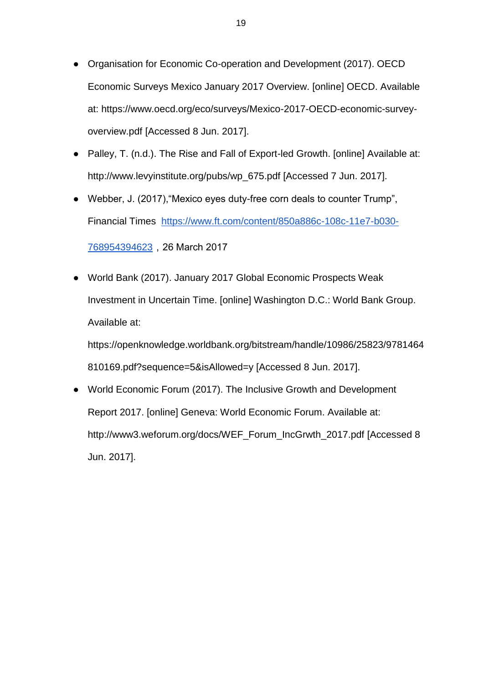- Organisation for Economic Co-operation and Development (2017). OECD Economic Surveys Mexico January 2017 Overview. [online] OECD. Available at: https://www.oecd.org/eco/surveys/Mexico-2017-OECD-economic-surveyoverview.pdf [Accessed 8 Jun. 2017].
- Palley, T. (n.d.). The Rise and Fall of Export-led Growth. [online] Available at: http://www.levyinstitute.org/pubs/wp\_675.pdf [Accessed 7 Jun. 2017].
- Webber, J. (2017),"Mexico eyes duty-free corn deals to counter Trump", Financial Times [https://www.ft.com/content/850a886c-108c-11e7-b030-](https://www.ft.com/content/850a886c-108c-11e7-b030-768954394623) [768954394623](https://www.ft.com/content/850a886c-108c-11e7-b030-768954394623),26 March 2017
- World Bank (2017). January 2017 Global Economic Prospects Weak Investment in Uncertain Time. [online] Washington D.C.: World Bank Group. Available at:

https://openknowledge.worldbank.org/bitstream/handle/10986/25823/9781464 810169.pdf?sequence=5&isAllowed=y [Accessed 8 Jun. 2017].

● World Economic Forum (2017). The Inclusive Growth and Development Report 2017. [online] Geneva: World Economic Forum. Available at: http://www3.weforum.org/docs/WEF\_Forum\_IncGrwth\_2017.pdf [Accessed 8 Jun. 2017].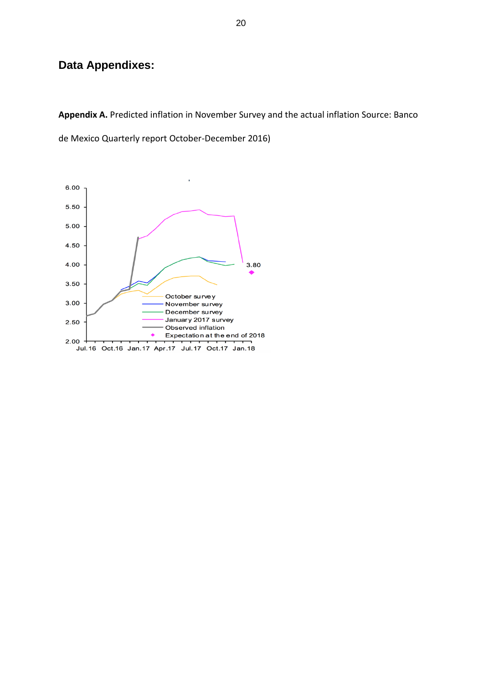# **Data Appendixes:**

**Appendix A.** Predicted inflation in November Survey and the actual inflation Source: Banco

de Mexico Quarterly report October-December 2016)

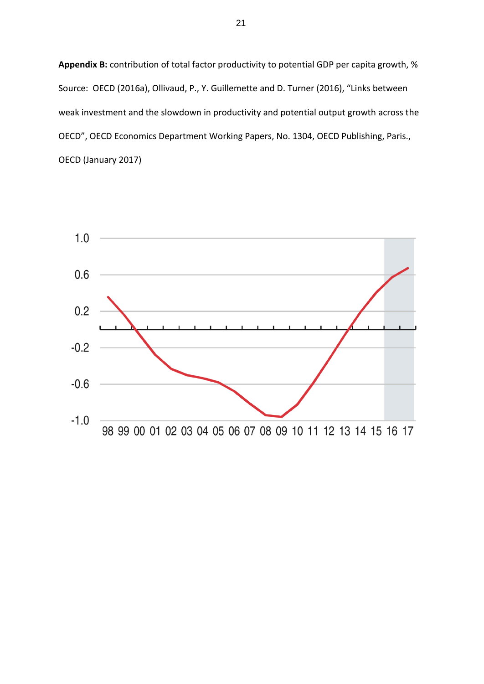**Appendix B:** contribution of total factor productivity to potential GDP per capita growth, % Source: OECD (2016a), Ollivaud, P., Y. Guillemette and D. Turner (2016), "Links between weak investment and the slowdown in productivity and potential output growth across the OECD", OECD Economics Department Working Papers, No. 1304, OECD Publishing, Paris., OECD (January 2017)